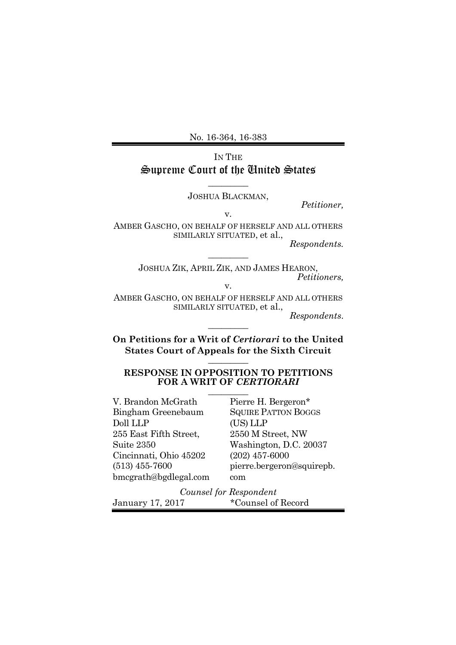No. 16-364, 16-383

# IN THE Supreme Court of the United States

 $\overline{\phantom{a}}$  . The set of the set of the set of the set of the set of the set of the set of the set of the set of the set of the set of the set of the set of the set of the set of the set of the set of the set of the set o JOSHUA BLACKMAN,

*Petitioner,*

v.

AMBER GASCHO, ON BEHALF OF HERSELF AND ALL OTHERS SIMILARLY SITUATED, et al., *Respondents.*

 $\overline{\phantom{a}}$  . The set of the set of the set of the set of the set of the set of the set of the set of the set of the set of the set of the set of the set of the set of the set of the set of the set of the set of the set o

JOSHUA ZIK, APRIL ZIK, AND JAMES HEARON, *Petitioners,*

v.

AMBER GASCHO, ON BEHALF OF HERSELF AND ALL OTHERS SIMILARLY SITUATED, et al.,

*Respondents*.

**On Petitions for a Writ of** *Certiorari* **to the United States Court of Appeals for the Sixth Circuit**  $\overline{\phantom{a}}$  . The set of the set of the set of the set of the set of the set of the set of the set of the set of the set of the set of the set of the set of the set of the set of the set of the set of the set of the set o

 $\overline{\phantom{a}}$ 

#### **RESPONSE IN OPPOSITION TO PETITIONS FOR A WRIT OF** *CERTIORARI*  $\overline{\phantom{a}}$  . The set of the set of the set of the set of the set of the set of the set of the set of the set of the set of the set of the set of the set of the set of the set of the set of the set of the set of the set o

| V. Brandon McGrath     | Pierre H. Bergeron*        |  |
|------------------------|----------------------------|--|
| Bingham Greenebaum     | <b>SQUIRE PATTON BOGGS</b> |  |
| Doll LLP               | (US) LLP                   |  |
| 255 East Fifth Street, | 2550 M Street, NW          |  |
| Suite 2350             | Washington, D.C. 20037     |  |
| Cincinnati, Ohio 45202 | $(202)$ 457-6000           |  |
| $(513)$ 455-7600       | pierre.bergeron@squirepb.  |  |
| bmcgrath@bgdlegal.com  | com                        |  |
| Counsel for Respondent |                            |  |
| January 17, 2017       | *Counsel of Record         |  |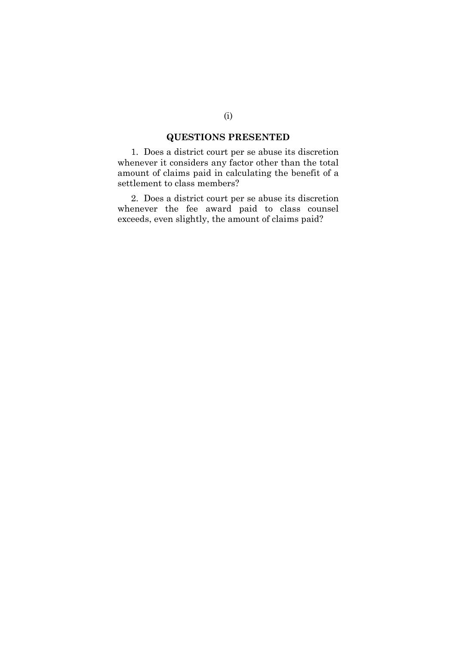## **QUESTIONS PRESENTED**

1. Does a district court per se abuse its discretion whenever it considers any factor other than the total amount of claims paid in calculating the benefit of a settlement to class members?

2. Does a district court per se abuse its discretion whenever the fee award paid to class counsel exceeds, even slightly, the amount of claims paid?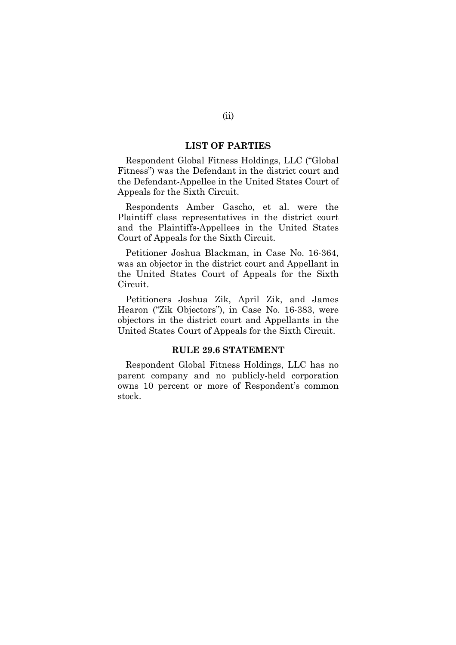#### **LIST OF PARTIES**

Respondent Global Fitness Holdings, LLC ("Global Fitness") was the Defendant in the district court and the Defendant-Appellee in the United States Court of Appeals for the Sixth Circuit.

Respondents Amber Gascho, et al. were the Plaintiff class representatives in the district court and the Plaintiffs-Appellees in the United States Court of Appeals for the Sixth Circuit.

Petitioner Joshua Blackman, in Case No. 16-364, was an objector in the district court and Appellant in the United States Court of Appeals for the Sixth Circuit.

Petitioners Joshua Zik, April Zik, and James Hearon ("Zik Objectors"), in Case No. 16-383, were objectors in the district court and Appellants in the United States Court of Appeals for the Sixth Circuit.

### **RULE 29.6 STATEMENT**

Respondent Global Fitness Holdings, LLC has no parent company and no publicly-held corporation owns 10 percent or more of Respondent's common stock.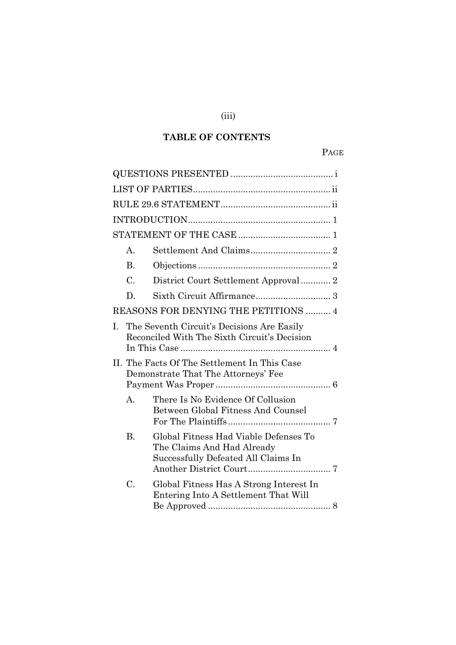# **TABLE OF CONTENTS**

# PAGE

|                                      | A.                                                                                         |                                                                                                            |
|--------------------------------------|--------------------------------------------------------------------------------------------|------------------------------------------------------------------------------------------------------------|
|                                      | <b>B.</b>                                                                                  |                                                                                                            |
|                                      | $\mathcal{C}$ .                                                                            | District Court Settlement Approval 2                                                                       |
|                                      | D.                                                                                         |                                                                                                            |
| REASONS FOR DENYING THE PETITIONS  4 |                                                                                            |                                                                                                            |
| L                                    | The Seventh Circuit's Decisions Are Easily<br>Reconciled With The Sixth Circuit's Decision |                                                                                                            |
|                                      | II. The Facts Of The Settlement In This Case<br>Demonstrate That The Attorneys' Fee        |                                                                                                            |
|                                      | $A_{1}$                                                                                    | There Is No Evidence Of Collusion<br>Between Global Fitness And Counsel                                    |
|                                      | <b>B.</b>                                                                                  | Global Fitness Had Viable Defenses To<br>The Claims And Had Already<br>Successfully Defeated All Claims In |
|                                      | C.                                                                                         | Global Fitness Has A Strong Interest In<br>Entering Into A Settlement That Will                            |

(iii)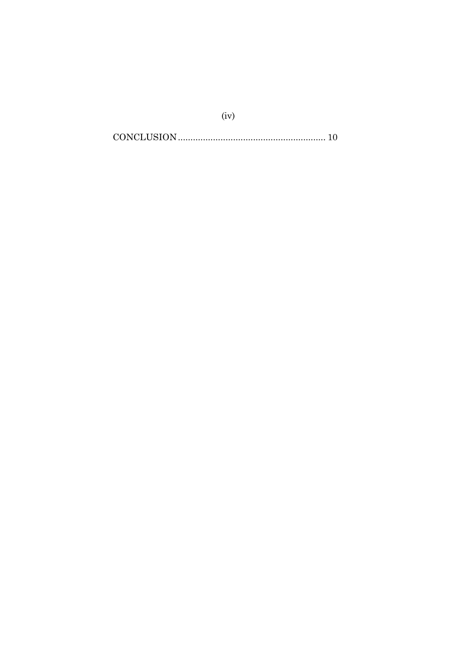$(iv)$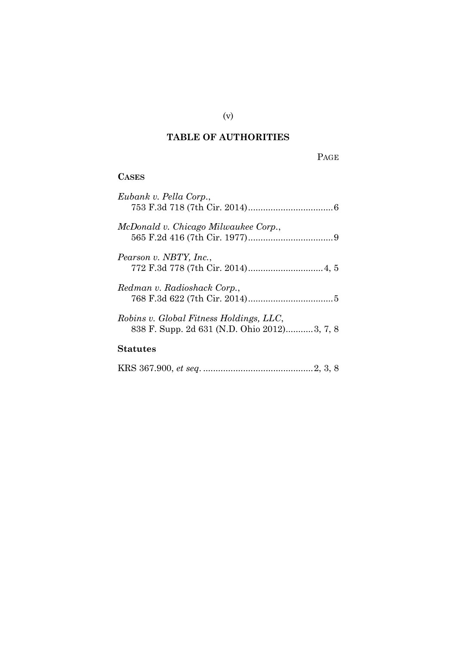# **TABLE OF AUTHORITIES**

# PAGE

# **CASES**

| Eubank v. Pella Corp.,                      |
|---------------------------------------------|
|                                             |
|                                             |
| McDonald v. Chicago Milwaukee Corp.,        |
|                                             |
|                                             |
| Pearson v. NBTY, Inc.,                      |
|                                             |
|                                             |
| Redman v. Radioshack Corp.,                 |
|                                             |
|                                             |
| Robins v. Global Fitness Holdings, LLC,     |
| 838 F. Supp. 2d 631 (N.D. Ohio 2012)3, 7, 8 |
|                                             |
| Statutes                                    |
|                                             |
|                                             |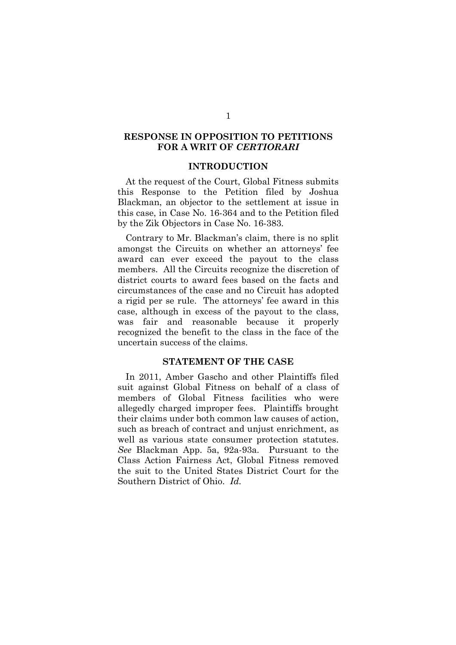### **RESPONSE IN OPPOSITION TO PETITIONS FOR A WRIT OF** *CERTIORARI*

### **INTRODUCTION**

At the request of the Court, Global Fitness submits this Response to the Petition filed by Joshua Blackman, an objector to the settlement at issue in this case, in Case No. 16-364 and to the Petition filed by the Zik Objectors in Case No. 16-383.

Contrary to Mr. Blackman's claim, there is no split amongst the Circuits on whether an attorneys' fee award can ever exceed the payout to the class members. All the Circuits recognize the discretion of district courts to award fees based on the facts and circumstances of the case and no Circuit has adopted a rigid per se rule. The attorneys' fee award in this case, although in excess of the payout to the class, was fair and reasonable because it properly recognized the benefit to the class in the face of the uncertain success of the claims.

## **STATEMENT OF THE CASE**

In 2011, Amber Gascho and other Plaintiffs filed suit against Global Fitness on behalf of a class of members of Global Fitness facilities who were allegedly charged improper fees. Plaintiffs brought their claims under both common law causes of action, such as breach of contract and unjust enrichment, as well as various state consumer protection statutes. *See* Blackman App. 5a, 92a-93a. Pursuant to the Class Action Fairness Act, Global Fitness removed the suit to the United States District Court for the Southern District of Ohio. *Id.*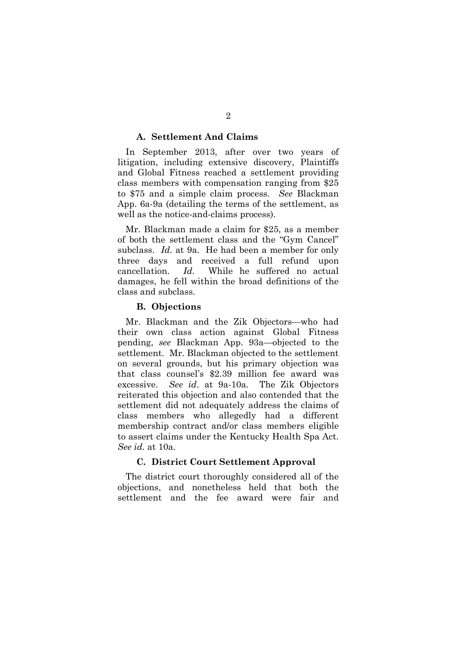#### **A. Settlement And Claims**

In September 2013, after over two years of litigation, including extensive discovery, Plaintiffs and Global Fitness reached a settlement providing class members with compensation ranging from \$25 to \$75 and a simple claim process. *See* Blackman App. 6a-9a (detailing the terms of the settlement, as well as the notice-and-claims process).

Mr. Blackman made a claim for \$25, as a member of both the settlement class and the "Gym Cancel" subclass. *Id.* at 9a. He had been a member for only three days and received a full refund upon cancellation. *Id.* While he suffered no actual damages, he fell within the broad definitions of the class and subclass.

#### **B. Objections**

Mr. Blackman and the Zik Objectors—who had their own class action against Global Fitness pending, *see* Blackman App. 93a—objected to the settlement. Mr. Blackman objected to the settlement on several grounds, but his primary objection was that class counsel's \$2.39 million fee award was excessive. *See id*. at 9a-10a. The Zik Objectors reiterated this objection and also contended that the settlement did not adequately address the claims of class members who allegedly had a different membership contract and/or class members eligible to assert claims under the Kentucky Health Spa Act. *See id.* at 10a.

### **C. District Court Settlement Approval**

The district court thoroughly considered all of the objections, and nonetheless held that both the settlement and the fee award were fair and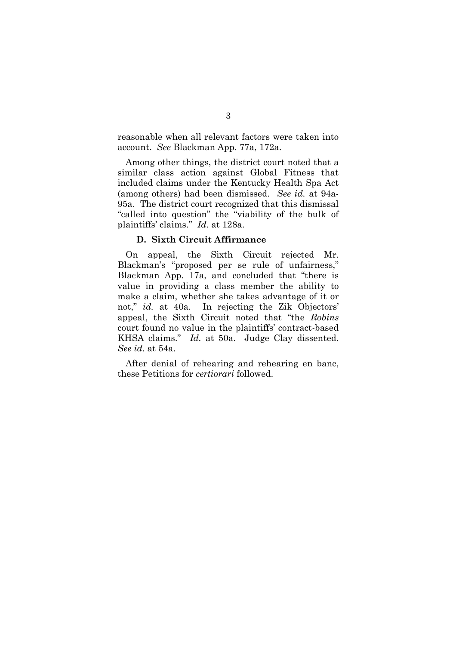reasonable when all relevant factors were taken into account. *See* Blackman App. 77a, 172a.

Among other things, the district court noted that a similar class action against Global Fitness that included claims under the Kentucky Health Spa Act (among others) had been dismissed. *See id.* at 94a-95a. The district court recognized that this dismissal "called into question" the "viability of the bulk of plaintiffs' claims." *Id.* at 128a.

#### **D. Sixth Circuit Affirmance**

On appeal, the Sixth Circuit rejected Mr. Blackman's "proposed per se rule of unfairness," Blackman App. 17a, and concluded that "there is value in providing a class member the ability to make a claim, whether she takes advantage of it or not," *id.* at 40a. In rejecting the Zik Objectors' appeal, the Sixth Circuit noted that "the *Robins* court found no value in the plaintiffs' contract-based KHSA claims." *Id.* at 50a. Judge Clay dissented. *See id.* at 54a.

After denial of rehearing and rehearing en banc, these Petitions for *certiorari* followed.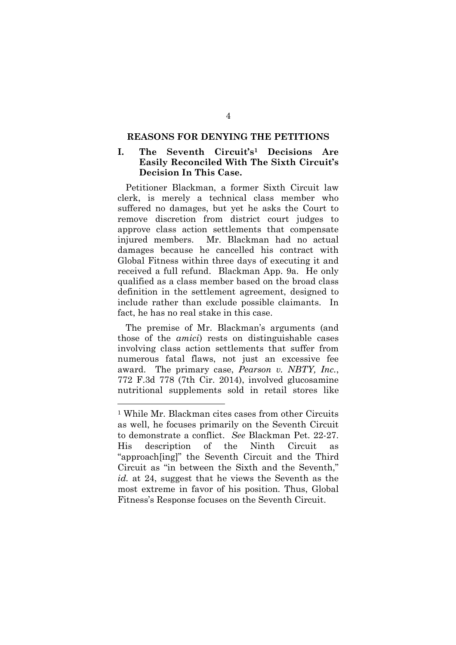#### **REASONS FOR DENYING THE PETITIONS**

### **I. The Seventh Circuit's<sup>1</sup> Decisions Are Easily Reconciled With The Sixth Circuit's Decision In This Case.**

Petitioner Blackman, a former Sixth Circuit law clerk, is merely a technical class member who suffered no damages, but yet he asks the Court to remove discretion from district court judges to approve class action settlements that compensate injured members. Mr. Blackman had no actual damages because he cancelled his contract with Global Fitness within three days of executing it and received a full refund. Blackman App. 9a. He only qualified as a class member based on the broad class definition in the settlement agreement, designed to include rather than exclude possible claimants. In fact, he has no real stake in this case.

The premise of Mr. Blackman's arguments (and those of the *amici*) rests on distinguishable cases involving class action settlements that suffer from numerous fatal flaws, not just an excessive fee award. The primary case, *Pearson v. NBTY, Inc.*, 772 F.3d 778 (7th Cir. 2014), involved glucosamine nutritional supplements sold in retail stores like

<sup>1</sup> While Mr. Blackman cites cases from other Circuits as well, he focuses primarily on the Seventh Circuit to demonstrate a conflict. *See* Blackman Pet. 22-27. His description of the Ninth Circuit as "approach[ing]" the Seventh Circuit and the Third Circuit as "in between the Sixth and the Seventh," *id.* at 24, suggest that he views the Seventh as the most extreme in favor of his position. Thus, Global Fitness's Response focuses on the Seventh Circuit.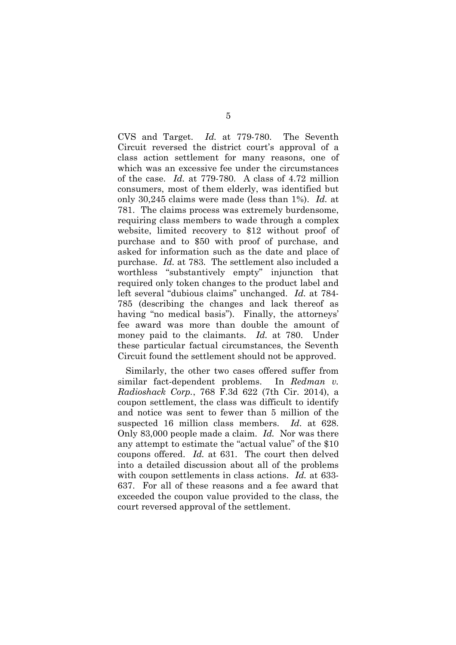CVS and Target. *Id.* at 779-780. The Seventh Circuit reversed the district court's approval of a class action settlement for many reasons, one of which was an excessive fee under the circumstances of the case. *Id.* at 779-780. A class of 4.72 million consumers, most of them elderly, was identified but only 30,245 claims were made (less than 1%). *Id.* at 781. The claims process was extremely burdensome, requiring class members to wade through a complex website, limited recovery to \$12 without proof of purchase and to \$50 with proof of purchase, and asked for information such as the date and place of purchase. *Id.* at 783. The settlement also included a worthless "substantively empty" injunction that required only token changes to the product label and left several "dubious claims" unchanged. *Id.* at 784- 785 (describing the changes and lack thereof as having "no medical basis"). Finally, the attorneys' fee award was more than double the amount of money paid to the claimants. *Id.* at 780. Under these particular factual circumstances, the Seventh Circuit found the settlement should not be approved.

Similarly, the other two cases offered suffer from similar fact-dependent problems. In *Redman v. Radioshack Corp.*, 768 F.3d 622 (7th Cir. 2014), a coupon settlement, the class was difficult to identify and notice was sent to fewer than 5 million of the suspected 16 million class members. *Id.* at 628. Only 83,000 people made a claim. *Id.* Nor was there any attempt to estimate the "actual value" of the \$10 coupons offered. *Id.* at 631. The court then delved into a detailed discussion about all of the problems with coupon settlements in class actions. *Id.* at 633- 637. For all of these reasons and a fee award that exceeded the coupon value provided to the class, the court reversed approval of the settlement.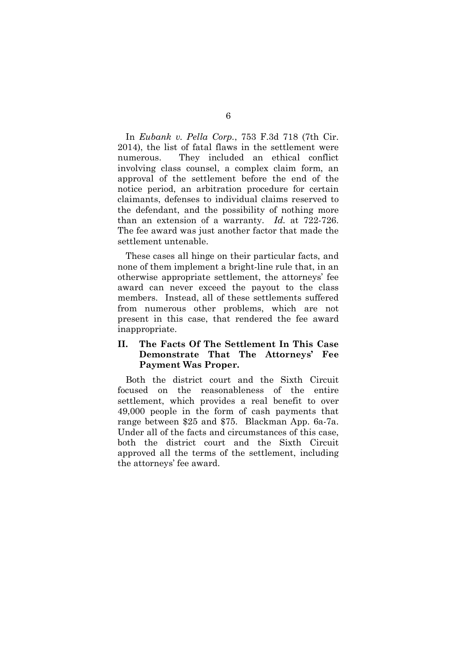In *Eubank v. Pella Corp.*, 753 F.3d 718 (7th Cir. 2014), the list of fatal flaws in the settlement were numerous. They included an ethical conflict involving class counsel, a complex claim form, an approval of the settlement before the end of the notice period, an arbitration procedure for certain claimants, defenses to individual claims reserved to the defendant, and the possibility of nothing more than an extension of a warranty. *Id.* at 722-726. The fee award was just another factor that made the settlement untenable.

These cases all hinge on their particular facts, and none of them implement a bright-line rule that, in an otherwise appropriate settlement, the attorneys' fee award can never exceed the payout to the class members. Instead, all of these settlements suffered from numerous other problems, which are not present in this case, that rendered the fee award inappropriate.

## **II. The Facts Of The Settlement In This Case Demonstrate That The Attorneys' Fee Payment Was Proper.**

Both the district court and the Sixth Circuit focused on the reasonableness of the entire settlement, which provides a real benefit to over 49,000 people in the form of cash payments that range between \$25 and \$75. Blackman App. 6a-7a. Under all of the facts and circumstances of this case, both the district court and the Sixth Circuit approved all the terms of the settlement, including the attorneys' fee award.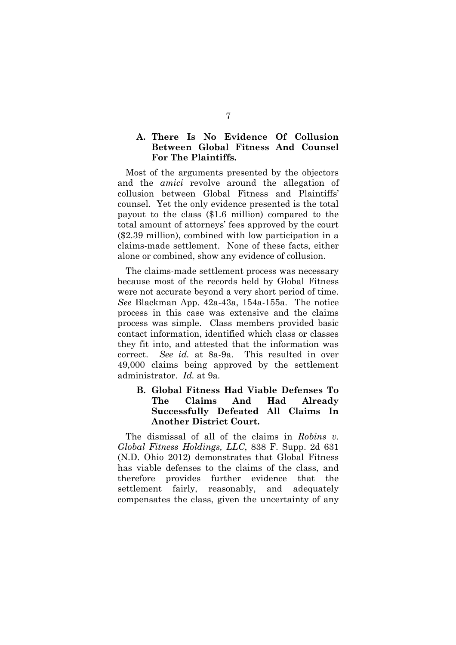## **A. There Is No Evidence Of Collusion Between Global Fitness And Counsel For The Plaintiffs.**

Most of the arguments presented by the objectors and the *amici* revolve around the allegation of collusion between Global Fitness and Plaintiffs' counsel. Yet the only evidence presented is the total payout to the class (\$1.6 million) compared to the total amount of attorneys' fees approved by the court (\$2.39 million), combined with low participation in a claims-made settlement. None of these facts, either alone or combined, show any evidence of collusion.

The claims-made settlement process was necessary because most of the records held by Global Fitness were not accurate beyond a very short period of time. *See* Blackman App. 42a-43a, 154a-155a. The notice process in this case was extensive and the claims process was simple. Class members provided basic contact information, identified which class or classes they fit into, and attested that the information was correct. *See id.* at 8a-9a. This resulted in over 49,000 claims being approved by the settlement administrator. *Id.* at 9a.

## **B. Global Fitness Had Viable Defenses To The Claims And Had Already Successfully Defeated All Claims In Another District Court.**

The dismissal of all of the claims in *Robins v. Global Fitness Holdings, LLC*, 838 F. Supp. 2d 631 (N.D. Ohio 2012) demonstrates that Global Fitness has viable defenses to the claims of the class, and therefore provides further evidence that the settlement fairly, reasonably, and adequately compensates the class, given the uncertainty of any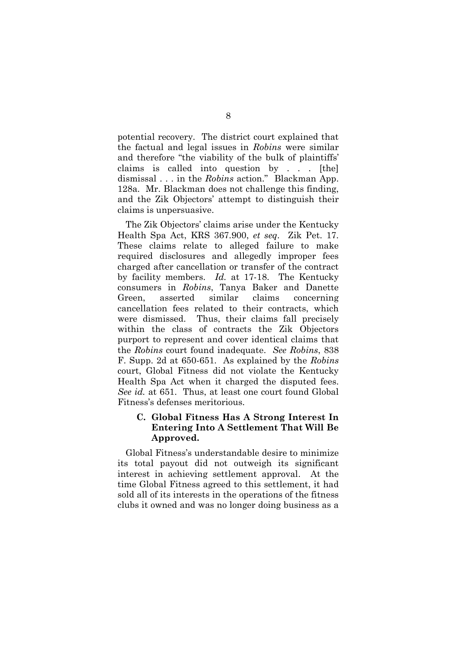potential recovery. The district court explained that the factual and legal issues in *Robins* were similar and therefore "the viability of the bulk of plaintiffs' claims is called into question by . . . [the] dismissal . . . in the *Robins* action." Blackman App. 128a. Mr. Blackman does not challenge this finding, and the Zik Objectors' attempt to distinguish their claims is unpersuasive.

The Zik Objectors' claims arise under the Kentucky Health Spa Act, KRS 367.900, *et seq*. Zik Pet. 17. These claims relate to alleged failure to make required disclosures and allegedly improper fees charged after cancellation or transfer of the contract by facility members. *Id.* at 17-18. The Kentucky consumers in *Robins*, Tanya Baker and Danette Green, asserted similar claims concerning cancellation fees related to their contracts, which were dismissed. Thus, their claims fall precisely within the class of contracts the Zik Objectors purport to represent and cover identical claims that the *Robins* court found inadequate. *See Robins*, 838 F. Supp. 2d at 650-651. As explained by the *Robins* court, Global Fitness did not violate the Kentucky Health Spa Act when it charged the disputed fees. *See id.* at 651. Thus, at least one court found Global Fitness's defenses meritorious.

## **C. Global Fitness Has A Strong Interest In Entering Into A Settlement That Will Be Approved.**

Global Fitness's understandable desire to minimize its total payout did not outweigh its significant interest in achieving settlement approval. At the time Global Fitness agreed to this settlement, it had sold all of its interests in the operations of the fitness clubs it owned and was no longer doing business as a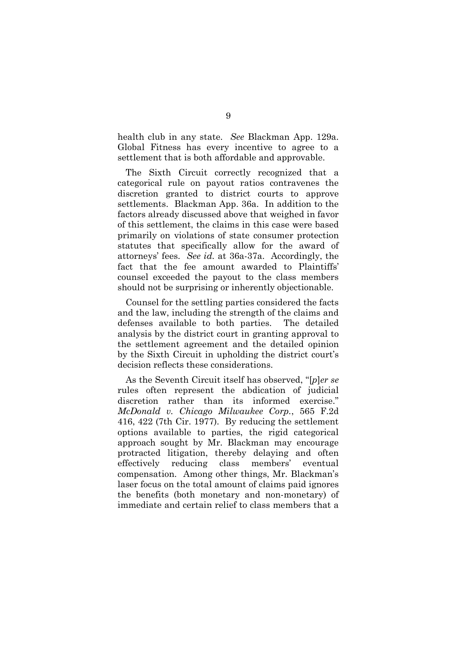health club in any state. *See* Blackman App. 129a. Global Fitness has every incentive to agree to a settlement that is both affordable and approvable.

The Sixth Circuit correctly recognized that a categorical rule on payout ratios contravenes the discretion granted to district courts to approve settlements. Blackman App. 36a. In addition to the factors already discussed above that weighed in favor of this settlement, the claims in this case were based primarily on violations of state consumer protection statutes that specifically allow for the award of attorneys' fees. *See id.* at 36a-37a. Accordingly, the fact that the fee amount awarded to Plaintiffs' counsel exceeded the payout to the class members should not be surprising or inherently objectionable.

Counsel for the settling parties considered the facts and the law, including the strength of the claims and defenses available to both parties. The detailed analysis by the district court in granting approval to the settlement agreement and the detailed opinion by the Sixth Circuit in upholding the district court's decision reflects these considerations.

As the Seventh Circuit itself has observed, "[*p*]*er se* rules often represent the abdication of judicial discretion rather than its informed exercise." *McDonald v. Chicago Milwaukee Corp.*, 565 F.2d 416, 422 (7th Cir. 1977). By reducing the settlement options available to parties, the rigid categorical approach sought by Mr. Blackman may encourage protracted litigation, thereby delaying and often effectively reducing class members' eventual compensation. Among other things, Mr. Blackman's laser focus on the total amount of claims paid ignores the benefits (both monetary and non-monetary) of immediate and certain relief to class members that a